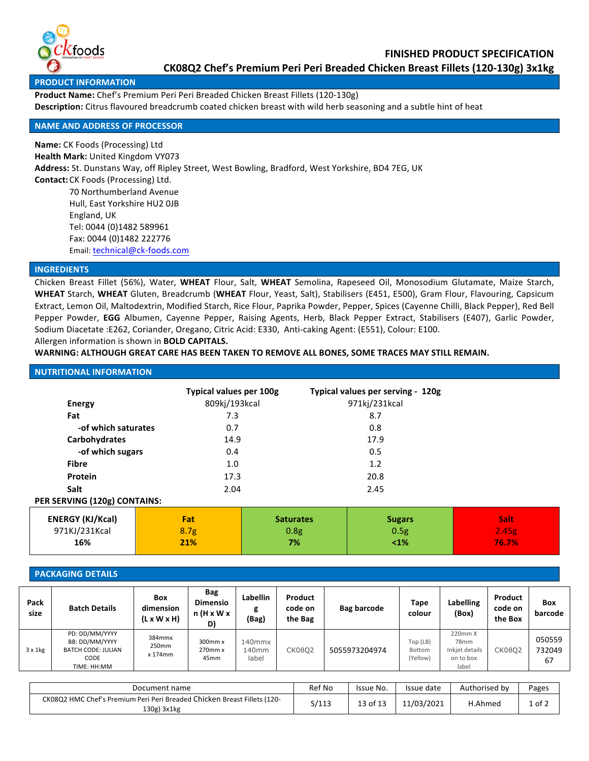

#### **PRODUCT INFORMATION**

Product Name: Chef's Premium Peri Peri Breaded Chicken Breast Fillets (120-130g) **Description:** Citrus flavoured breadcrumb coated chicken breast with wild herb seasoning and a subtle hint of heat

# **NAME AND ADDRESS OF PROCESSOR**

**Name:** CK Foods (Processing) Ltd **Health Mark: United Kingdom VY073** Address: St. Dunstans Way, off Ripley Street, West Bowling, Bradford, West Yorkshire, BD4 7EG, UK **Contact:** CK Foods (Processing) Ltd. 70 Northumberland Avenue Hull, East Yorkshire HU2 OJB England, UK Tel: 0044 (0)1482 589961 Fax: 0044 (0)1482 222776 Email: technical@ck-foods.com

# **INGREDIENTS**

Chicken Breast Fillet (56%), Water, WHEAT Flour, Salt, WHEAT Semolina, Rapeseed Oil, Monosodium Glutamate, Maize Starch, WHEAT Starch, WHEAT Gluten, Breadcrumb (WHEAT Flour, Yeast, Salt), Stabilisers (E451, E500), Gram Flour, Flavouring, Capsicum Extract, Lemon Oil, Maltodextrin, Modified Starch, Rice Flour, Paprika Powder, Pepper, Spices (Cayenne Chilli, Black Pepper), Red Bell Pepper Powder, EGG Albumen, Cayenne Pepper, Raising Agents, Herb, Black Pepper Extract, Stabilisers (E407), Garlic Powder, Sodium Diacetate :E262, Coriander, Oregano, Citric Acid: E330, Anti-caking Agent: (E551), Colour: E100. Allergen information is shown in **BOLD CAPITALS.** 

#### WARNING: ALTHOUGH GREAT CARE HAS BEEN TAKEN TO REMOVE ALL BONES, SOME TRACES MAY STILL REMAIN.

| <b>NUTRITIONAL INFORMATION</b> |                                |                  |                                   |       |
|--------------------------------|--------------------------------|------------------|-----------------------------------|-------|
|                                | <b>Typical values per 100g</b> |                  | Typical values per serving - 120g |       |
| <b>Energy</b>                  | 809kj/193kcal                  |                  | 971kj/231kcal                     |       |
| Fat                            | 7.3                            |                  | 8.7                               |       |
| -of which saturates            | 0.7                            |                  | 0.8                               |       |
| Carbohydrates                  |                                | 14.9<br>17.9     |                                   |       |
| -of which sugars               |                                | 0.5<br>0.4       |                                   |       |
| <b>Fibre</b>                   | 1.0                            | 1.2              |                                   |       |
| <b>Protein</b>                 | 17.3                           | 20.8             |                                   |       |
| Salt                           | 2.04                           | 2.45             |                                   |       |
| PER SERVING (120g) CONTAINS:   |                                |                  |                                   |       |
| <b>ENERGY (KJ/Kcal)</b>        | <b>Fat</b>                     | <b>Saturates</b> | <b>Sugars</b>                     | Salt  |
| 971KJ/231Kcal                  | 8.7 <sub>g</sub>               | 0.8g             | 0.5g                              | 2.45g |
| 16%                            | 21%                            | 7%               | $\leq 1\%$                        | 76.7% |

#### **PACKAGING DETAILS**

| Pack<br>size    | <b>Batch Details</b>                                                                 | <b>Box</b><br>dimension<br>$(L \times W \times H)$ | Bag<br><b>Dimensio</b><br>n (H x W x<br>D) | <b>Labellin</b><br>g<br>(Bag) | Product<br>code on<br>the Bag | Bag barcode   | Tape<br>colour                 | <b>Labelling</b><br>(Box)                                           | Product<br>code on<br>the Box | <b>Box</b><br>barcode  |
|-----------------|--------------------------------------------------------------------------------------|----------------------------------------------------|--------------------------------------------|-------------------------------|-------------------------------|---------------|--------------------------------|---------------------------------------------------------------------|-------------------------------|------------------------|
| $3 \times 1$ kg | PD: DD/MM/YYYY<br>BB: DD/MM/YYYY<br><b>BATCH CODE: JULIAN</b><br>CODE<br>TIME: HH:MM | 384mmx<br>250mm<br>x 174mm                         | 300mm x<br>270mm x<br>45 <sub>mm</sub>     | 140mmx<br>140mm<br>label      | CK08O2                        | 5055973204974 | Top (LB)<br>Bottom<br>(Yellow) | 220mm X<br>78 <sub>mm</sub><br>Inkjet details<br>on to box<br>label | <b>CK0802</b>                 | 050559<br>732049<br>67 |

| Document name                                                                           | Ref No | Issue No. | Issue date | Authorised by | Pages  |
|-----------------------------------------------------------------------------------------|--------|-----------|------------|---------------|--------|
| CK08Q2 HMC Chef's Premium Peri Peri Breaded Chicken Breast Fillets (120-<br>130g) 3x1kg | S/113  | 13 of 13  | 11/03/2021 | H.Ahmed       | 1 of 2 |